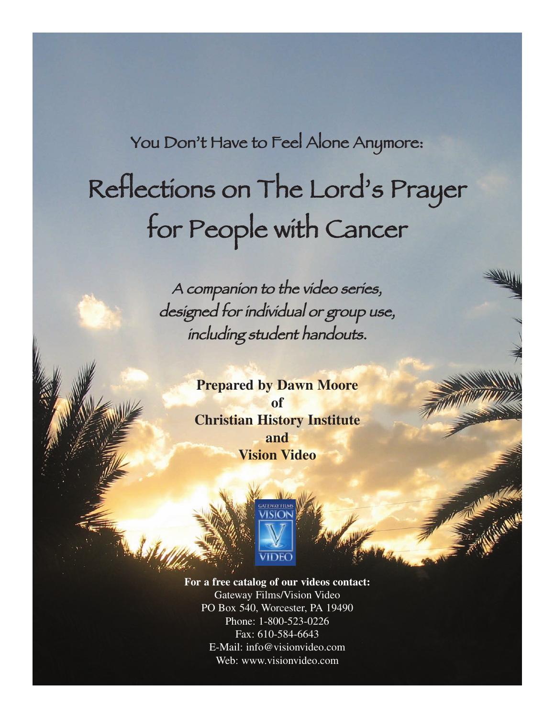You Don't Have to Feel Alone Anymore:

# Reflections on The Lord's Prayer for People with Cancer

A companion to the video series, designed for individual or group use, including student handouts.

> **Prepared by Dawn Moore of Christian History Institute and Vision Video**



**For a free catalog of our videos contact:** Gateway Films/Vision Video PO Box 540, Worcester, PA 19490 Phone: 1-800-523-0226 Fax: 610-584-6643 E-Mail: info@visionvideo.com Web: www.visionvideo.com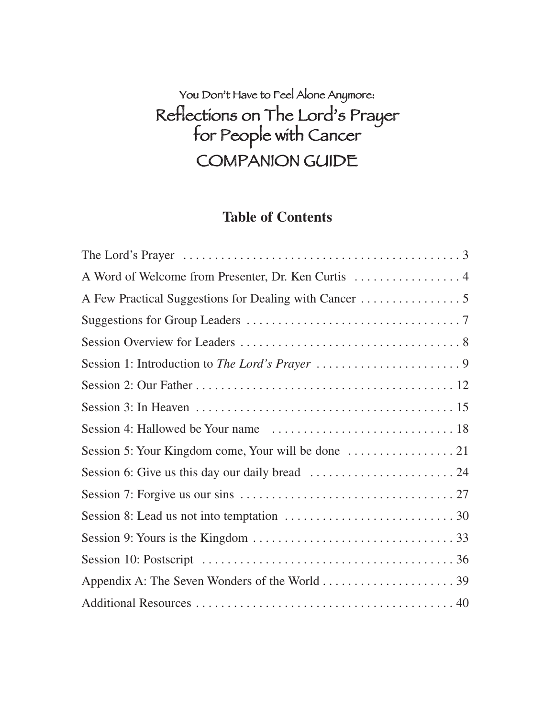### You Don't Have to Feel Alone Anymore: Reflections on The Lord's Prayer for People with Cancer COMPANION GUIDE

#### **Table of Contents**

| The Lord's Prayer $\dots \dots \dots \dots \dots \dots \dots \dots \dots \dots \dots \dots \dots \dots$ |
|---------------------------------------------------------------------------------------------------------|
|                                                                                                         |
|                                                                                                         |
|                                                                                                         |
|                                                                                                         |
|                                                                                                         |
|                                                                                                         |
|                                                                                                         |
|                                                                                                         |
|                                                                                                         |
|                                                                                                         |
|                                                                                                         |
|                                                                                                         |
|                                                                                                         |
|                                                                                                         |
|                                                                                                         |
|                                                                                                         |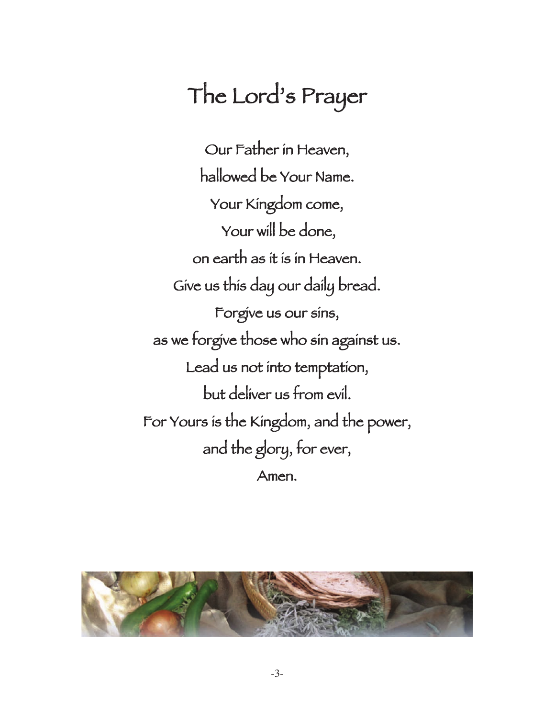# The Lord's Prayer

Our Father in Heaven, hallowed be Your Name. Your Kingdom come, Your will be done, on earth as it is in Heaven. Give us this day our daily bread. Forgive us our sins, as we forgive those who sin against us. Lead us not into temptation, but deliver us from evil. For Yours is the Kingdom, and the power, and the glory, for ever, Amen.

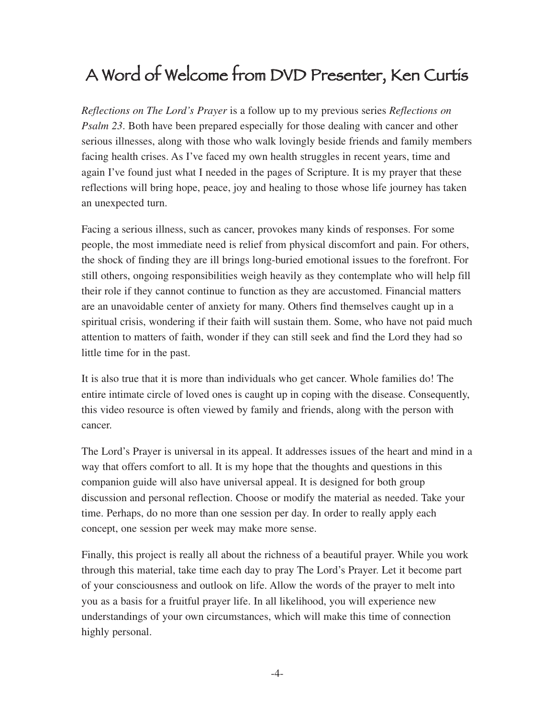### A Word of Welcome from DVD Presenter, Ken Curtis

*Reflections on The Lord's Prayer* is a follow up to my previous series *Reflections on Psalm 23*. Both have been prepared especially for those dealing with cancer and other serious illnesses, along with those who walk lovingly beside friends and family members facing health crises. As I've faced my own health struggles in recent years, time and again I've found just what I needed in the pages of Scripture. It is my prayer that these reflections will bring hope, peace, joy and healing to those whose life journey has taken an unexpected turn.

Facing a serious illness, such as cancer, provokes many kinds of responses. For some people, the most immediate need is relief from physical discomfort and pain. For others, the shock of finding they are ill brings long-buried emotional issues to the forefront. For still others, ongoing responsibilities weigh heavily as they contemplate who will help fill their role if they cannot continue to function as they are accustomed. Financial matters are an unavoidable center of anxiety for many. Others find themselves caught up in a spiritual crisis, wondering if their faith will sustain them. Some, who have not paid much attention to matters of faith, wonder if they can still seek and find the Lord they had so little time for in the past.

It is also true that it is more than individuals who get cancer. Whole families do! The entire intimate circle of loved ones is caught up in coping with the disease. Consequently, this video resource is often viewed by family and friends, along with the person with cancer.

The Lord's Prayer is universal in its appeal. It addresses issues of the heart and mind in a way that offers comfort to all. It is my hope that the thoughts and questions in this companion guide will also have universal appeal. It is designed for both group discussion and personal reflection. Choose or modify the material as needed. Take your time. Perhaps, do no more than one session per day. In order to really apply each concept, one session per week may make more sense.

Finally, this project is really all about the richness of a beautiful prayer. While you work through this material, take time each day to pray The Lord's Prayer. Let it become part of your consciousness and outlook on life. Allow the words of the prayer to melt into you as a basis for a fruitful prayer life. In all likelihood, you will experience new understandings of your own circumstances, which will make this time of connection highly personal.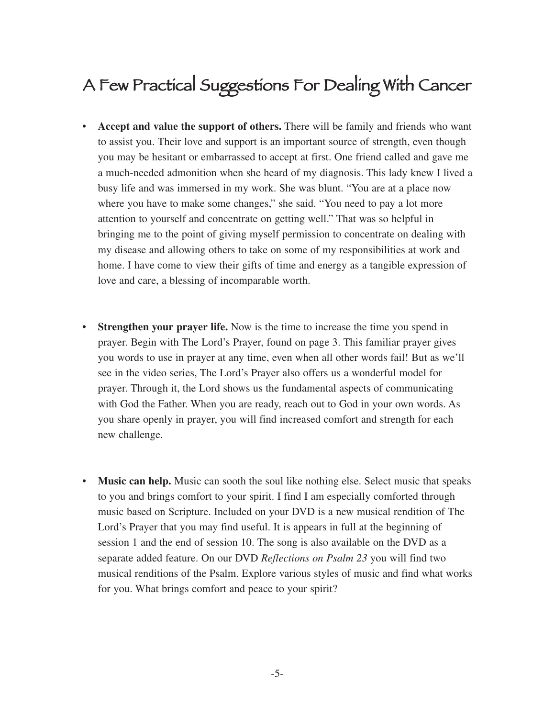### A Few Practical Suggestions For Dealing With Cancer

- **Accept and value the support of others.** There will be family and friends who want to assist you. Their love and support is an important source of strength, even though you may be hesitant or embarrassed to accept at first. One friend called and gave me a much-needed admonition when she heard of my diagnosis. This lady knew I lived a busy life and was immersed in my work. She was blunt. "You are at a place now where you have to make some changes," she said. "You need to pay a lot more attention to yourself and concentrate on getting well." That was so helpful in bringing me to the point of giving myself permission to concentrate on dealing with my disease and allowing others to take on some of my responsibilities at work and home. I have come to view their gifts of time and energy as a tangible expression of love and care, a blessing of incomparable worth.
- **Strengthen your prayer life.** Now is the time to increase the time you spend in prayer. Begin with The Lord's Prayer, found on page 3. This familiar prayer gives you words to use in prayer at any time, even when all other words fail! But as we'll see in the video series, The Lord's Prayer also offers us a wonderful model for prayer. Through it, the Lord shows us the fundamental aspects of communicating with God the Father. When you are ready, reach out to God in your own words. As you share openly in prayer, you will find increased comfort and strength for each new challenge.
- **Music can help.** Music can sooth the soul like nothing else. Select music that speaks to you and brings comfort to your spirit. I find I am especially comforted through music based on Scripture. Included on your DVD is a new musical rendition of The Lord's Prayer that you may find useful. It is appears in full at the beginning of session 1 and the end of session 10. The song is also available on the DVD as a separate added feature. On our DVD *Reflections on Psalm 23* you will find two musical renditions of the Psalm. Explore various styles of music and find what works for you. What brings comfort and peace to your spirit?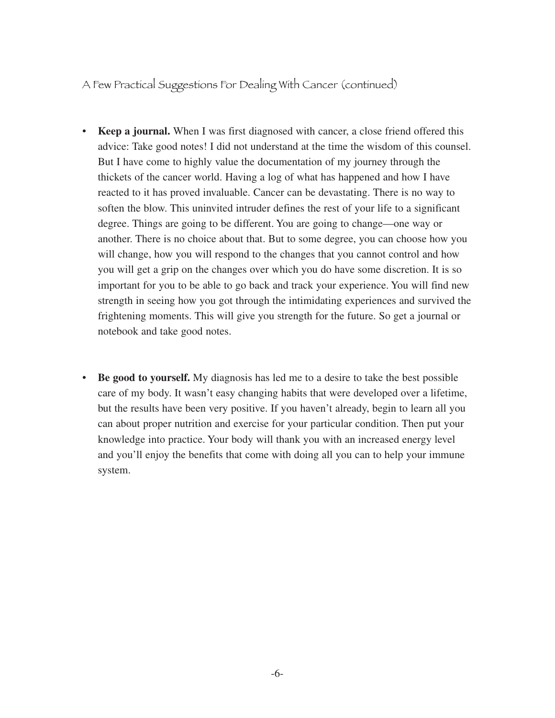A Few Practical Suggestions For Dealing With Cancer (continued)

- **Keep a journal.** When I was first diagnosed with cancer, a close friend offered this advice: Take good notes! I did not understand at the time the wisdom of this counsel. But I have come to highly value the documentation of my journey through the thickets of the cancer world. Having a log of what has happened and how I have reacted to it has proved invaluable. Cancer can be devastating. There is no way to soften the blow. This uninvited intruder defines the rest of your life to a significant degree. Things are going to be different. You are going to change—one way or another. There is no choice about that. But to some degree, you can choose how you will change, how you will respond to the changes that you cannot control and how you will get a grip on the changes over which you do have some discretion. It is so important for you to be able to go back and track your experience. You will find new strength in seeing how you got through the intimidating experiences and survived the frightening moments. This will give you strength for the future. So get a journal or notebook and take good notes.
- **Be good to yourself.** My diagnosis has led me to a desire to take the best possible care of my body. It wasn't easy changing habits that were developed over a lifetime, but the results have been very positive. If you haven't already, begin to learn all you can about proper nutrition and exercise for your particular condition. Then put your knowledge into practice. Your body will thank you with an increased energy level and you'll enjoy the benefits that come with doing all you can to help your immune system.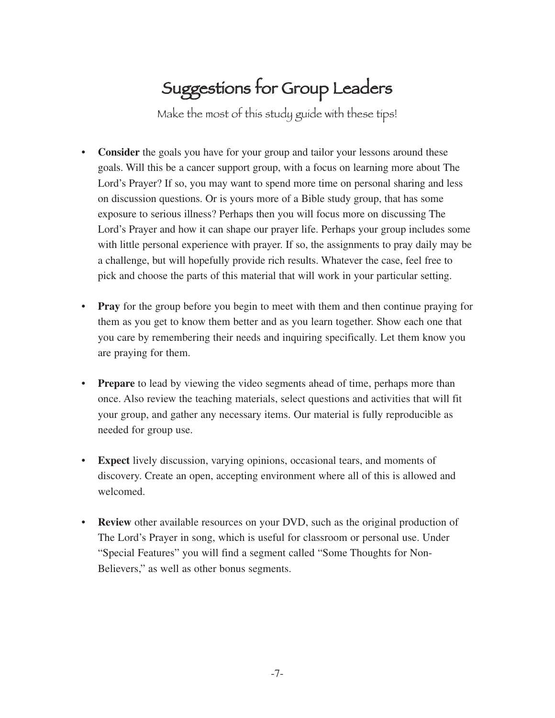# Suggestions for Group Leaders

Make the most of this study guide with these tips!

- **Consider** the goals you have for your group and tailor your lessons around these goals. Will this be a cancer support group, with a focus on learning more about The Lord's Prayer? If so, you may want to spend more time on personal sharing and less on discussion questions. Or is yours more of a Bible study group, that has some exposure to serious illness? Perhaps then you will focus more on discussing The Lord's Prayer and how it can shape our prayer life. Perhaps your group includes some with little personal experience with prayer. If so, the assignments to pray daily may be a challenge, but will hopefully provide rich results. Whatever the case, feel free to pick and choose the parts of this material that will work in your particular setting.
- **Pray** for the group before you begin to meet with them and then continue praying for them as you get to know them better and as you learn together. Show each one that you care by remembering their needs and inquiring specifically. Let them know you are praying for them.
- **Prepare** to lead by viewing the video segments ahead of time, perhaps more than once. Also review the teaching materials, select questions and activities that will fit your group, and gather any necessary items. Our material is fully reproducible as needed for group use.
- **Expect** lively discussion, varying opinions, occasional tears, and moments of discovery. Create an open, accepting environment where all of this is allowed and welcomed.
- **Review** other available resources on your DVD, such as the original production of The Lord's Prayer in song, which is useful for classroom or personal use. Under "Special Features" you will find a segment called "Some Thoughts for Non-Believers," as well as other bonus segments.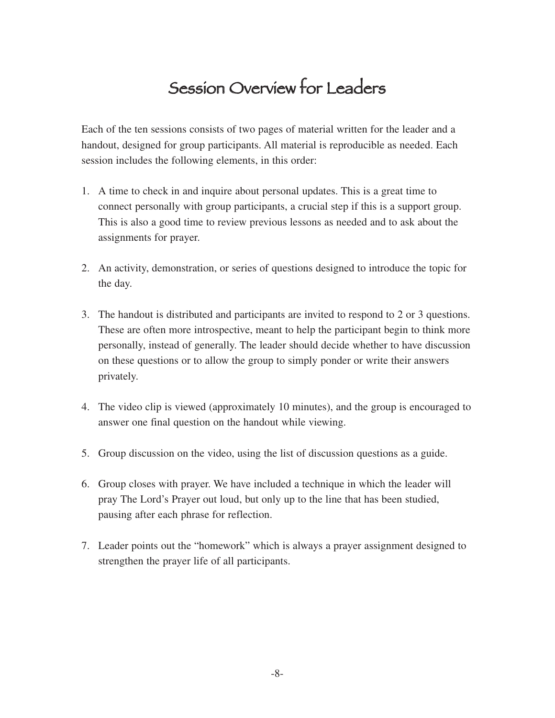### Session Overview for Leaders

Each of the ten sessions consists of two pages of material written for the leader and a handout, designed for group participants. All material is reproducible as needed. Each session includes the following elements, in this order:

- 1. A time to check in and inquire about personal updates. This is a great time to connect personally with group participants, a crucial step if this is a support group. This is also a good time to review previous lessons as needed and to ask about the assignments for prayer.
- 2. An activity, demonstration, or series of questions designed to introduce the topic for the day.
- 3. The handout is distributed and participants are invited to respond to 2 or 3 questions. These are often more introspective, meant to help the participant begin to think more personally, instead of generally. The leader should decide whether to have discussion on these questions or to allow the group to simply ponder or write their answers privately.
- 4. The video clip is viewed (approximately 10 minutes), and the group is encouraged to answer one final question on the handout while viewing.
- 5. Group discussion on the video, using the list of discussion questions as a guide.
- 6. Group closes with prayer. We have included a technique in which the leader will pray The Lord's Prayer out loud, but only up to the line that has been studied, pausing after each phrase for reflection.
- 7. Leader points out the "homework" which is always a prayer assignment designed to strengthen the prayer life of all participants.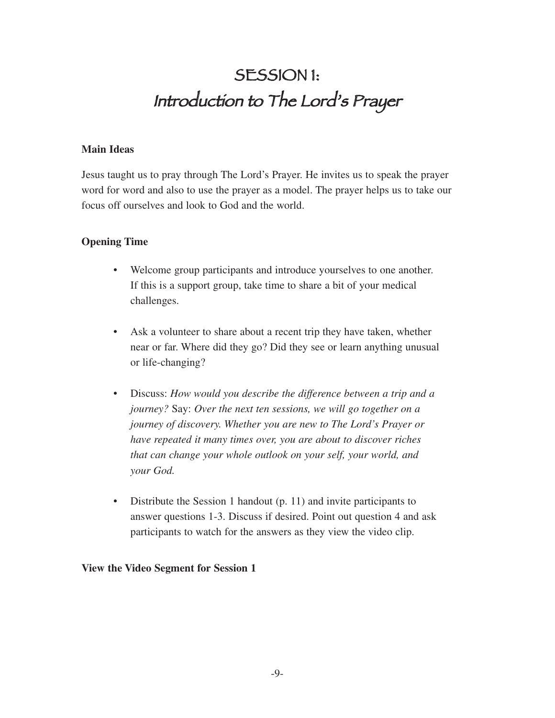### SESSION 1: Introduction to The Lord's Prayer

#### **Main Ideas**

Jesus taught us to pray through The Lord's Prayer. He invites us to speak the prayer word for word and also to use the prayer as a model. The prayer helps us to take our focus off ourselves and look to God and the world.

#### **Opening Time**

- Welcome group participants and introduce yourselves to one another. If this is a support group, take time to share a bit of your medical challenges.
- Ask a volunteer to share about a recent trip they have taken, whether near or far. Where did they go? Did they see or learn anything unusual or life-changing?
- Discuss: *How would you describe the difference between a trip and a journey?* Say: *Over the next ten sessions, we will go together on a journey of discovery. Whether you are new to The Lord's Prayer or have repeated it many times over, you are about to discover riches that can change your whole outlook on your self, your world, and your God.*
- Distribute the Session 1 handout (p. 11) and invite participants to answer questions 1-3. Discuss if desired. Point out question 4 and ask participants to watch for the answers as they view the video clip.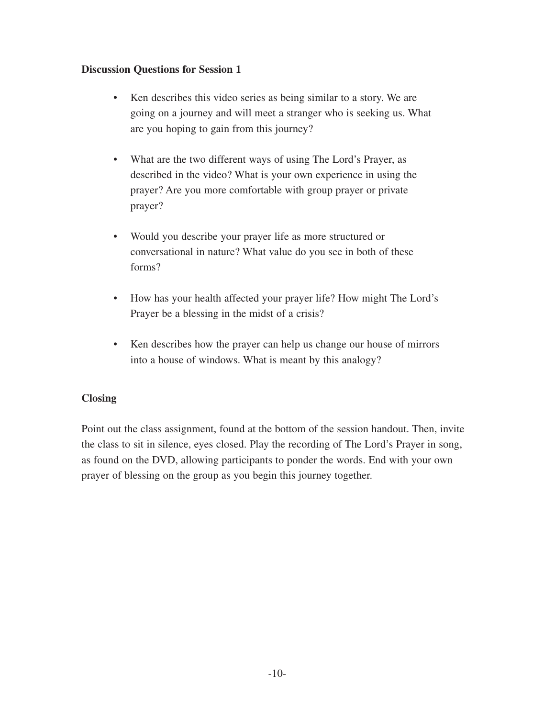- Ken describes this video series as being similar to a story. We are going on a journey and will meet a stranger who is seeking us. What are you hoping to gain from this journey?
- What are the two different ways of using The Lord's Prayer, as described in the video? What is your own experience in using the prayer? Are you more comfortable with group prayer or private prayer?
- Would you describe your prayer life as more structured or conversational in nature? What value do you see in both of these forms?
- How has your health affected your prayer life? How might The Lord's Prayer be a blessing in the midst of a crisis?
- Ken describes how the prayer can help us change our house of mirrors into a house of windows. What is meant by this analogy?

#### **Closing**

Point out the class assignment, found at the bottom of the session handout. Then, invite the class to sit in silence, eyes closed. Play the recording of The Lord's Prayer in song, as found on the DVD, allowing participants to ponder the words. End with your own prayer of blessing on the group as you begin this journey together.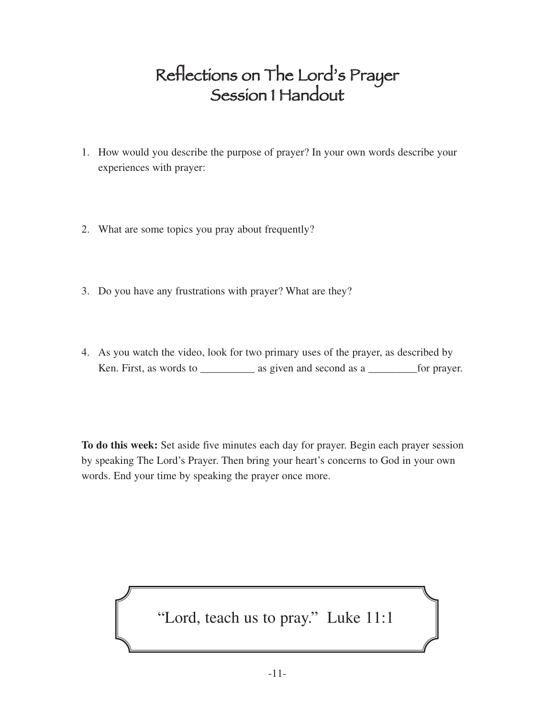### Reflections on The Lord's Prayer Session 1 Handout

- 1. How would you describe the purpose of prayer? In your own words describe your experiences with prayer:
- 2. What are some topics you pray about frequently?
- 3. Do you have any frustrations with prayer? What are they?
- 4. As you watch the video, look for two primary uses of the prayer, as described by Ken. First, as words to \_\_\_\_\_\_\_\_\_\_\_\_\_ as given and second as a \_\_\_\_\_\_\_\_\_\_\_ for prayer.

**To do this week:** Set aside five minutes each day for prayer. Begin each prayer session by speaking The Lord's Prayer. Then bring your heart's concerns to God in your own words. End your time by speaking the prayer once more.

"Lord, teach us to pray." Luke 11:1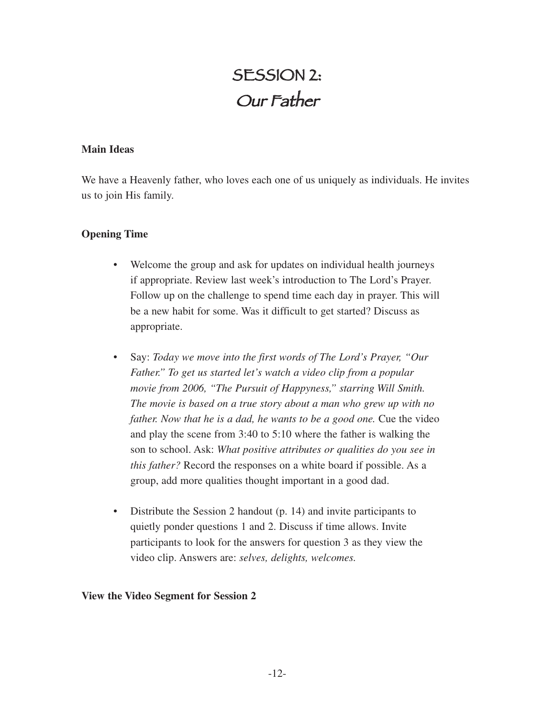### SESSION 2: Our Father

#### **Main Ideas**

We have a Heavenly father, who loves each one of us uniquely as individuals. He invites us to join His family.

#### **Opening Time**

- Welcome the group and ask for updates on individual health journeys if appropriate. Review last week's introduction to The Lord's Prayer. Follow up on the challenge to spend time each day in prayer. This will be a new habit for some. Was it difficult to get started? Discuss as appropriate.
- Say: *Today we move into the first words of The Lord's Prayer, "Our Father." To get us started let's watch a video clip from a popular movie from 2006, "The Pursuit of Happyness," starring Will Smith. The movie is based on a true story about a man who grew up with no father. Now that he is a dad, he wants to be a good one.* Cue the video and play the scene from 3:40 to 5:10 where the father is walking the son to school. Ask: *What positive attributes or qualities do you see in this father?* Record the responses on a white board if possible. As a group, add more qualities thought important in a good dad.
- Distribute the Session 2 handout (p. 14) and invite participants to quietly ponder questions 1 and 2. Discuss if time allows. Invite participants to look for the answers for question 3 as they view the video clip. Answers are: *selves, delights, welcomes.*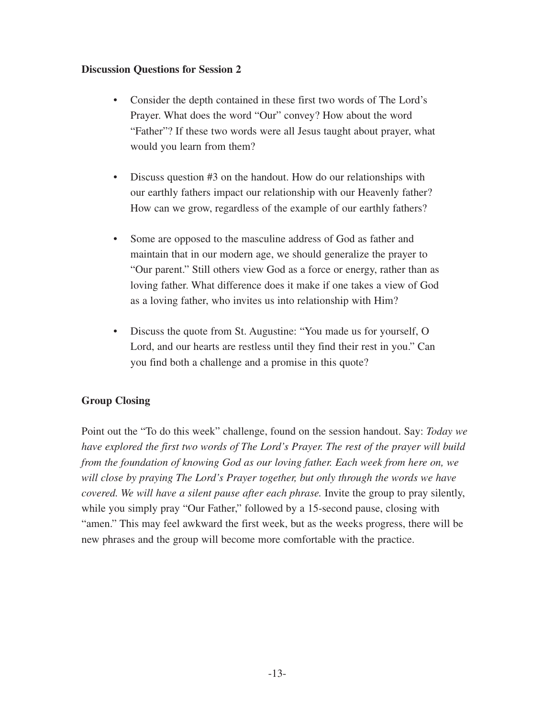- Consider the depth contained in these first two words of The Lord's Prayer. What does the word "Our" convey? How about the word "Father"? If these two words were all Jesus taught about prayer, what would you learn from them?
- Discuss question #3 on the handout. How do our relationships with our earthly fathers impact our relationship with our Heavenly father? How can we grow, regardless of the example of our earthly fathers?
- Some are opposed to the masculine address of God as father and maintain that in our modern age, we should generalize the prayer to "Our parent." Still others view God as a force or energy, rather than as loving father. What difference does it make if one takes a view of God as a loving father, who invites us into relationship with Him?
- Discuss the quote from St. Augustine: "You made us for yourself, O Lord, and our hearts are restless until they find their rest in you." Can you find both a challenge and a promise in this quote?

#### **Group Closing**

Point out the "To do this week" challenge, found on the session handout. Say: *Today we have explored the first two words of The Lord's Prayer. The rest of the prayer will build from the foundation of knowing God as our loving father. Each week from here on, we will close by praying The Lord's Prayer together, but only through the words we have covered. We will have a silent pause after each phrase.* Invite the group to pray silently, while you simply pray "Our Father," followed by a 15-second pause, closing with "amen." This may feel awkward the first week, but as the weeks progress, there will be new phrases and the group will become more comfortable with the practice.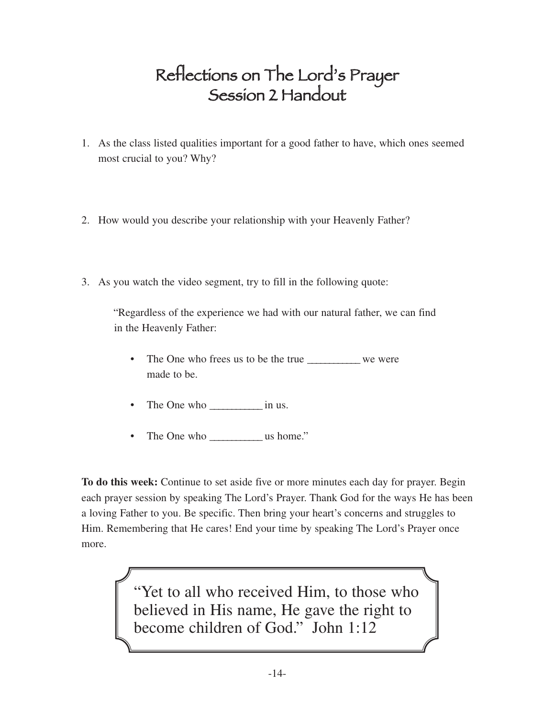### Reflections on The Lord's Prayer Session 2 Handout

- 1. As the class listed qualities important for a good father to have, which ones seemed most crucial to you? Why?
- 2. How would you describe your relationship with your Heavenly Father?
- 3. As you watch the video segment, try to fill in the following quote:

"Regardless of the experience we had with our natural father, we can find in the Heavenly Father:

- The One who frees us to be the true \_\_\_\_\_\_\_\_\_\_\_\_ we were made to be.
- The One who \_\_\_\_\_\_\_\_\_\_\_\_ in us.
- The One who \_\_\_\_\_\_\_\_\_\_\_\_ us home."

**To do this week:** Continue to set aside five or more minutes each day for prayer. Begin each prayer session by speaking The Lord's Prayer. Thank God for the ways He has been a loving Father to you. Be specific. Then bring your heart's concerns and struggles to Him. Remembering that He cares! End your time by speaking The Lord's Prayer once more.

> "Yet to all who received Him, to those who believed in His name, He gave the right to become children of God." John 1:12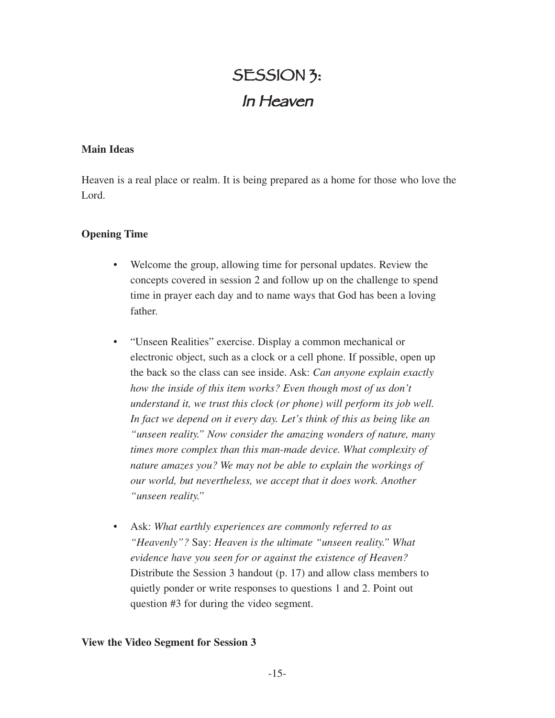### SESSION 3: In Heaven

#### **Main Ideas**

Heaven is a real place or realm. It is being prepared as a home for those who love the Lord.

#### **Opening Time**

- Welcome the group, allowing time for personal updates. Review the concepts covered in session 2 and follow up on the challenge to spend time in prayer each day and to name ways that God has been a loving father.
- "Unseen Realities" exercise. Display a common mechanical or electronic object, such as a clock or a cell phone. If possible, open up the back so the class can see inside. Ask: *Can anyone explain exactly how the inside of this item works? Even though most of us don't understand it, we trust this clock (or phone) will perform its job well. In fact we depend on it every day. Let's think of this as being like an "unseen reality." Now consider the amazing wonders of nature, many times more complex than this man-made device. What complexity of nature amazes you? We may not be able to explain the workings of our world, but nevertheless, we accept that it does work. Another "unseen reality."*
- Ask: *What earthly experiences are commonly referred to as "Heavenly"?* Say: *Heaven is the ultimate "unseen reality." What evidence have you seen for or against the existence of Heaven?* Distribute the Session 3 handout (p. 17) and allow class members to quietly ponder or write responses to questions 1 and 2. Point out question #3 for during the video segment.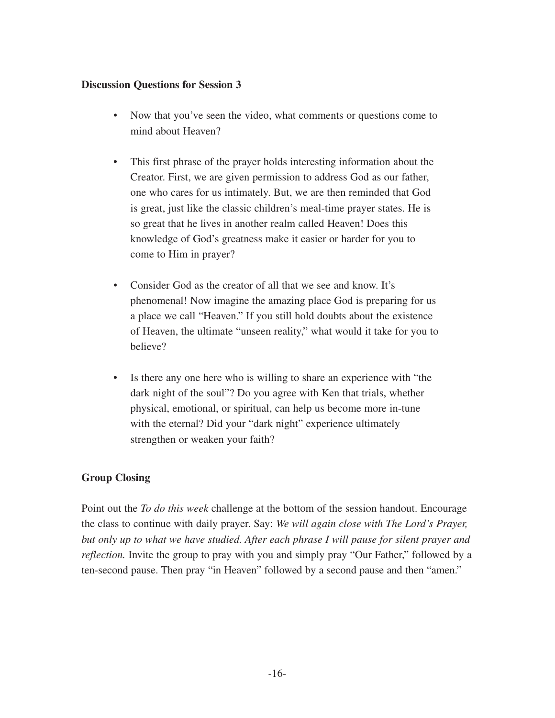- Now that you've seen the video, what comments or questions come to mind about Heaven?
- This first phrase of the prayer holds interesting information about the Creator. First, we are given permission to address God as our father, one who cares for us intimately. But, we are then reminded that God is great, just like the classic children's meal-time prayer states. He is so great that he lives in another realm called Heaven! Does this knowledge of God's greatness make it easier or harder for you to come to Him in prayer?
- Consider God as the creator of all that we see and know. It's phenomenal! Now imagine the amazing place God is preparing for us a place we call "Heaven." If you still hold doubts about the existence of Heaven, the ultimate "unseen reality," what would it take for you to believe?
- Is there any one here who is willing to share an experience with "the dark night of the soul"? Do you agree with Ken that trials, whether physical, emotional, or spiritual, can help us become more in-tune with the eternal? Did your "dark night" experience ultimately strengthen or weaken your faith?

#### **Group Closing**

Point out the *To do this week* challenge at the bottom of the session handout. Encourage the class to continue with daily prayer. Say: *We will again close with The Lord's Prayer, but only up to what we have studied. After each phrase I will pause for silent prayer and reflection*. Invite the group to pray with you and simply pray "Our Father," followed by a ten-second pause. Then pray "in Heaven" followed by a second pause and then "amen."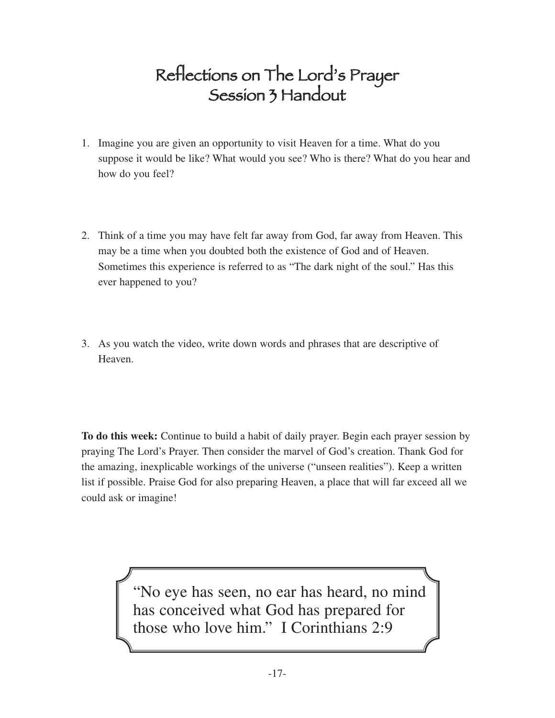### Reflections on The Lord's Prayer Session 3 Handout

- 1. Imagine you are given an opportunity to visit Heaven for a time. What do you suppose it would be like? What would you see? Who is there? What do you hear and how do you feel?
- 2. Think of a time you may have felt far away from God, far away from Heaven. This may be a time when you doubted both the existence of God and of Heaven. Sometimes this experience is referred to as "The dark night of the soul." Has this ever happened to you?
- 3. As you watch the video, write down words and phrases that are descriptive of Heaven.

**To do this week:** Continue to build a habit of daily prayer. Begin each prayer session by praying The Lord's Prayer. Then consider the marvel of God's creation. Thank God for the amazing, inexplicable workings of the universe ("unseen realities"). Keep a written list if possible. Praise God for also preparing Heaven, a place that will far exceed all we could ask or imagine!

> "No eye has seen, no ear has heard, no mind has conceived what God has prepared for those who love him." I Corinthians 2:9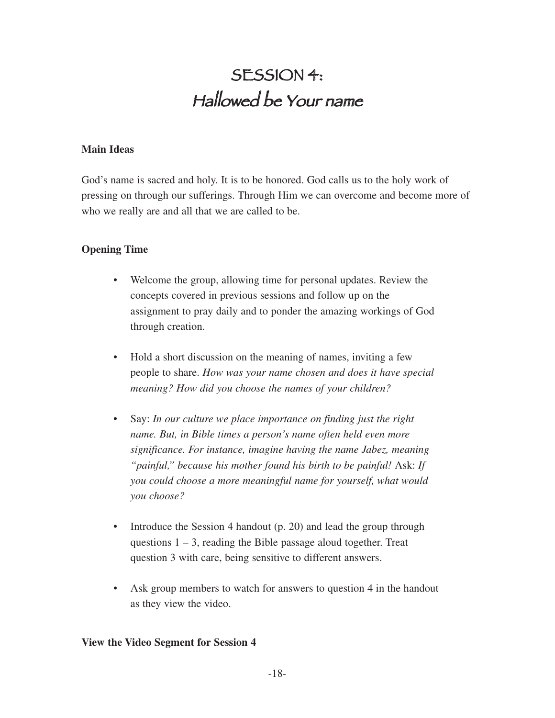### SESSION 4: Hallowed be Your name

#### **Main Ideas**

God's name is sacred and holy. It is to be honored. God calls us to the holy work of pressing on through our sufferings. Through Him we can overcome and become more of who we really are and all that we are called to be.

#### **Opening Time**

- Welcome the group, allowing time for personal updates. Review the concepts covered in previous sessions and follow up on the assignment to pray daily and to ponder the amazing workings of God through creation.
- Hold a short discussion on the meaning of names, inviting a few people to share. *How was your name chosen and does it have special meaning? How did you choose the names of your children?*
- Say: *In our culture we place importance on finding just the right name. But, in Bible times a person's name often held even more significance. For instance, imagine having the name Jabez, meaning "painful," because his mother found his birth to be painful!* Ask: *If you could choose a more meaningful name for yourself, what would you choose?*
- Introduce the Session 4 handout (p. 20) and lead the group through questions  $1 - 3$ , reading the Bible passage aloud together. Treat question 3 with care, being sensitive to different answers.
- Ask group members to watch for answers to question 4 in the handout as they view the video.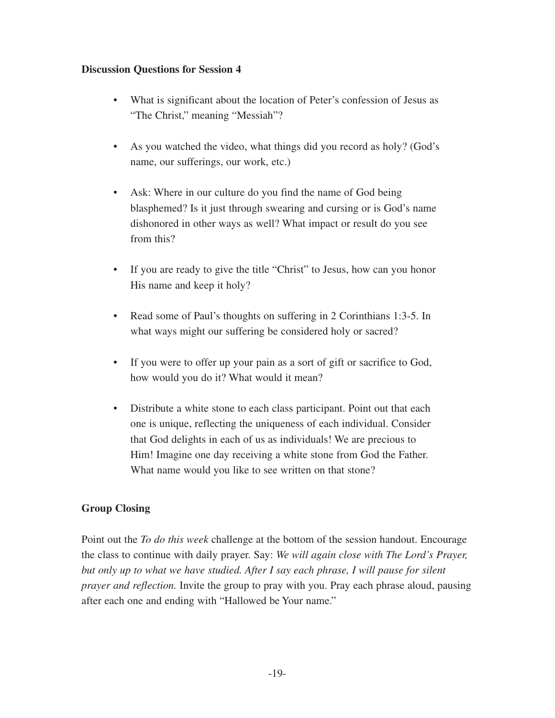- What is significant about the location of Peter's confession of Jesus as "The Christ," meaning "Messiah"?
- As you watched the video, what things did you record as holy? (God's name, our sufferings, our work, etc.)
- Ask: Where in our culture do you find the name of God being blasphemed? Is it just through swearing and cursing or is God's name dishonored in other ways as well? What impact or result do you see from this?
- If you are ready to give the title "Christ" to Jesus, how can you honor His name and keep it holy?
- Read some of Paul's thoughts on suffering in 2 Corinthians 1:3-5. In what ways might our suffering be considered holy or sacred?
- If you were to offer up your pain as a sort of gift or sacrifice to God, how would you do it? What would it mean?
- Distribute a white stone to each class participant. Point out that each one is unique, reflecting the uniqueness of each individual. Consider that God delights in each of us as individuals! We are precious to Him! Imagine one day receiving a white stone from God the Father. What name would you like to see written on that stone?

#### **Group Closing**

Point out the *To do this week* challenge at the bottom of the session handout. Encourage the class to continue with daily prayer. Say: *We will again close with The Lord's Prayer, but only up to what we have studied. After I say each phrase, I will pause for silent prayer and reflection.* Invite the group to pray with you. Pray each phrase aloud, pausing after each one and ending with "Hallowed be Your name."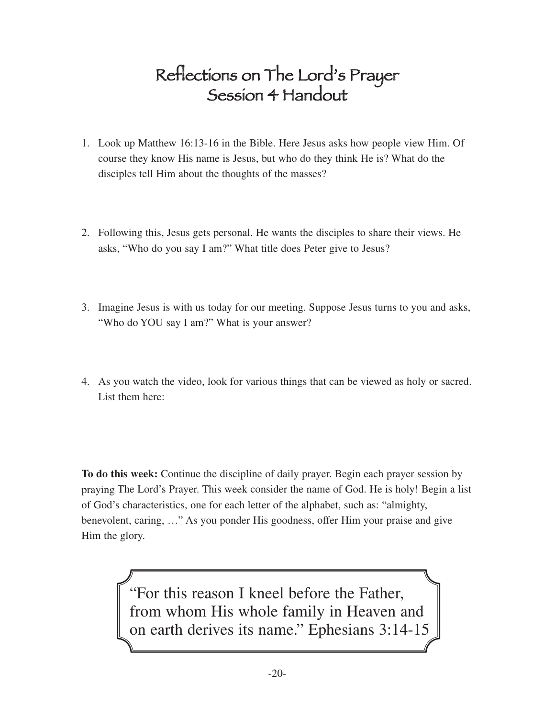### Reflections on The Lord's Prayer Session 4 Handout

- 1. Look up Matthew 16:13-16 in the Bible. Here Jesus asks how people view Him. Of course they know His name is Jesus, but who do they think He is? What do the disciples tell Him about the thoughts of the masses?
- 2. Following this, Jesus gets personal. He wants the disciples to share their views. He asks, "Who do you say I am?" What title does Peter give to Jesus?
- 3. Imagine Jesus is with us today for our meeting. Suppose Jesus turns to you and asks, "Who do YOU say I am?" What is your answer?
- 4. As you watch the video, look for various things that can be viewed as holy or sacred. List them here:

**To do this week:** Continue the discipline of daily prayer. Begin each prayer session by praying The Lord's Prayer. This week consider the name of God. He is holy! Begin a list of God's characteristics, one for each letter of the alphabet, such as: "almighty, benevolent, caring, …" As you ponder His goodness, offer Him your praise and give Him the glory.

> "For this reason I kneel before the Father, from whom His whole family in Heaven and on earth derives its name." Ephesians 3:14-15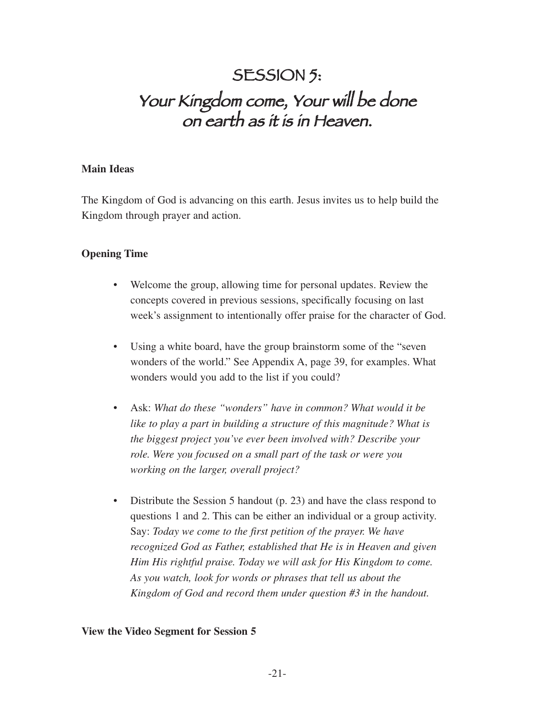### SESSION 5: Your Kingdom come, Your will be done on earth as it is in Heaven.

#### **Main Ideas**

The Kingdom of God is advancing on this earth. Jesus invites us to help build the Kingdom through prayer and action.

#### **Opening Time**

- Welcome the group, allowing time for personal updates. Review the concepts covered in previous sessions, specifically focusing on last week's assignment to intentionally offer praise for the character of God.
- Using a white board, have the group brainstorm some of the "seven" wonders of the world." See Appendix A, page 39, for examples. What wonders would you add to the list if you could?
- Ask: *What do these "wonders" have in common? What would it be like to play a part in building a structure of this magnitude? What is the biggest project you've ever been involved with? Describe your role. Were you focused on a small part of the task or were you working on the larger, overall project?*
- Distribute the Session 5 handout (p. 23) and have the class respond to questions 1 and 2. This can be either an individual or a group activity. Say: *Today we come to the first petition of the prayer. We have recognized God as Father, established that He is in Heaven and given Him His rightful praise. Today we will ask for His Kingdom to come. As you watch, look for words or phrases that tell us about the Kingdom of God and record them under question #3 in the handout.*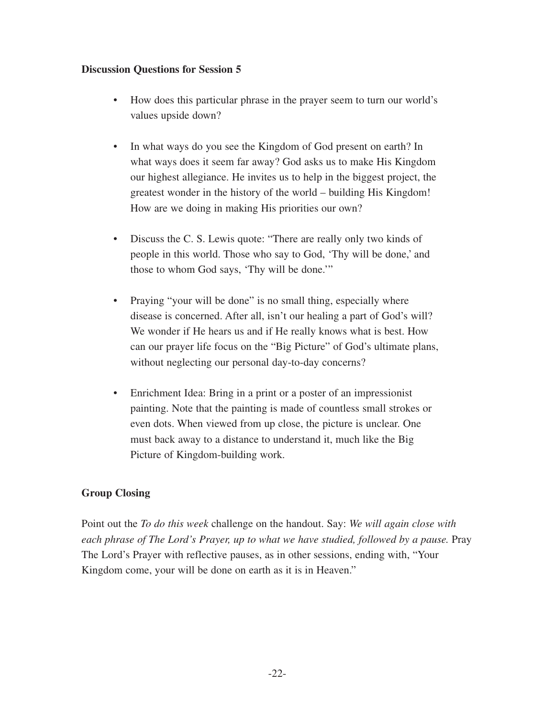- How does this particular phrase in the prayer seem to turn our world's values upside down?
- In what ways do you see the Kingdom of God present on earth? In what ways does it seem far away? God asks us to make His Kingdom our highest allegiance. He invites us to help in the biggest project, the greatest wonder in the history of the world – building His Kingdom! How are we doing in making His priorities our own?
- Discuss the C. S. Lewis quote: "There are really only two kinds of people in this world. Those who say to God, 'Thy will be done,' and those to whom God says, 'Thy will be done.'"
- Praying "your will be done" is no small thing, especially where disease is concerned. After all, isn't our healing a part of God's will? We wonder if He hears us and if He really knows what is best. How can our prayer life focus on the "Big Picture" of God's ultimate plans, without neglecting our personal day-to-day concerns?
- Enrichment Idea: Bring in a print or a poster of an impressionist painting. Note that the painting is made of countless small strokes or even dots. When viewed from up close, the picture is unclear. One must back away to a distance to understand it, much like the Big Picture of Kingdom-building work.

#### **Group Closing**

Point out the *To do this week* challenge on the handout. Say: *We will again close with each phrase of The Lord's Prayer, up to what we have studied, followed by a pause.* Pray The Lord's Prayer with reflective pauses, as in other sessions, ending with, "Your Kingdom come, your will be done on earth as it is in Heaven."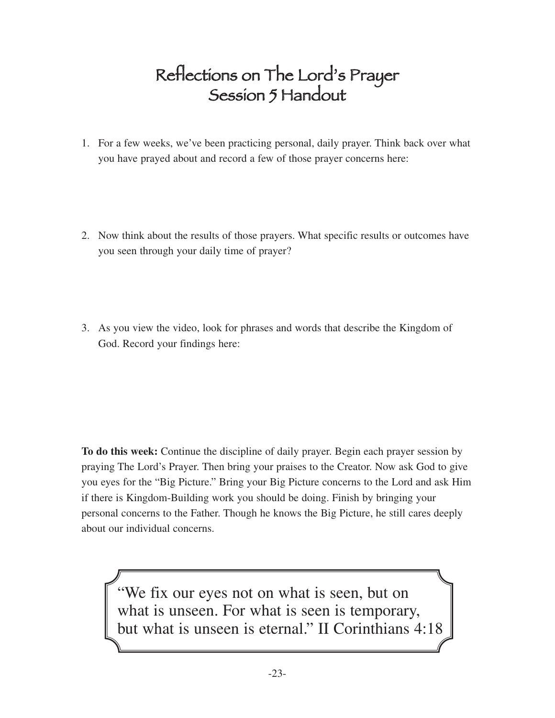### Reflections on The Lord's Prayer Session 5 Handout

- 1. For a few weeks, we've been practicing personal, daily prayer. Think back over what you have prayed about and record a few of those prayer concerns here:
- 2. Now think about the results of those prayers. What specific results or outcomes have you seen through your daily time of prayer?
- 3. As you view the video, look for phrases and words that describe the Kingdom of God. Record your findings here:

**To do this week:** Continue the discipline of daily prayer. Begin each prayer session by praying The Lord's Prayer. Then bring your praises to the Creator. Now ask God to give you eyes for the "Big Picture." Bring your Big Picture concerns to the Lord and ask Him if there is Kingdom-Building work you should be doing. Finish by bringing your personal concerns to the Father. Though he knows the Big Picture, he still cares deeply about our individual concerns.

"We fix our eyes not on what is seen, but on what is unseen. For what is seen is temporary, but what is unseen is eternal." II Corinthians 4:18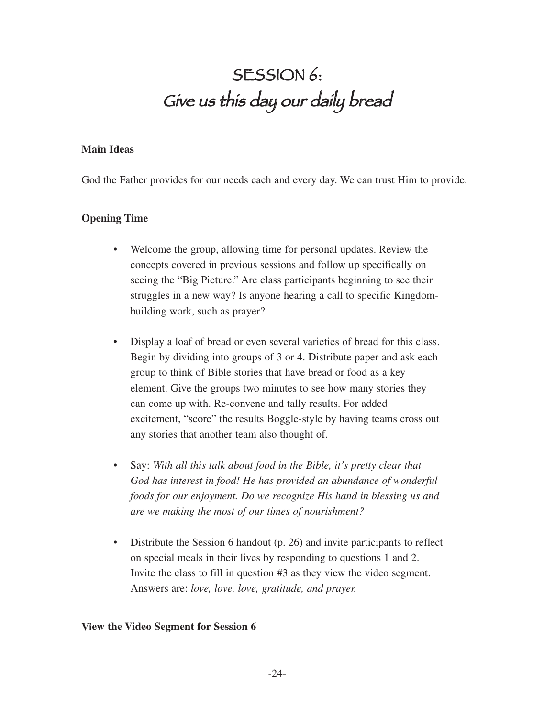## SESSION 6: Give us this day our daily bread

#### **Main Ideas**

God the Father provides for our needs each and every day. We can trust Him to provide.

#### **Opening Time**

- Welcome the group, allowing time for personal updates. Review the concepts covered in previous sessions and follow up specifically on seeing the "Big Picture." Are class participants beginning to see their struggles in a new way? Is anyone hearing a call to specific Kingdombuilding work, such as prayer?
- Display a loaf of bread or even several varieties of bread for this class. Begin by dividing into groups of 3 or 4. Distribute paper and ask each group to think of Bible stories that have bread or food as a key element. Give the groups two minutes to see how many stories they can come up with. Re-convene and tally results. For added excitement, "score" the results Boggle-style by having teams cross out any stories that another team also thought of.
- Say: *With all this talk about food in the Bible, it's pretty clear that God has interest in food! He has provided an abundance of wonderful foods for our enjoyment. Do we recognize His hand in blessing us and are we making the most of our times of nourishment?*
- Distribute the Session 6 handout (p. 26) and invite participants to reflect on special meals in their lives by responding to questions 1 and 2. Invite the class to fill in question #3 as they view the video segment. Answers are: *love, love, love, gratitude, and prayer.*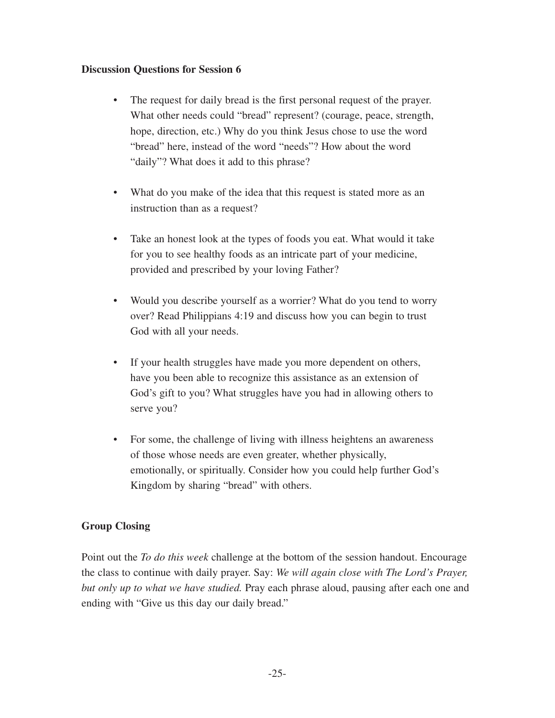- The request for daily bread is the first personal request of the prayer. What other needs could "bread" represent? (courage, peace, strength, hope, direction, etc.) Why do you think Jesus chose to use the word "bread" here, instead of the word "needs"? How about the word "daily"? What does it add to this phrase?
- What do you make of the idea that this request is stated more as an instruction than as a request?
- Take an honest look at the types of foods you eat. What would it take for you to see healthy foods as an intricate part of your medicine, provided and prescribed by your loving Father?
- Would you describe yourself as a worrier? What do you tend to worry over? Read Philippians 4:19 and discuss how you can begin to trust God with all your needs.
- If your health struggles have made you more dependent on others, have you been able to recognize this assistance as an extension of God's gift to you? What struggles have you had in allowing others to serve you?
- For some, the challenge of living with illness heightens an awareness of those whose needs are even greater, whether physically, emotionally, or spiritually. Consider how you could help further God's Kingdom by sharing "bread" with others.

#### **Group Closing**

Point out the *To do this week* challenge at the bottom of the session handout. Encourage the class to continue with daily prayer. Say: *We will again close with The Lord's Prayer, but only up to what we have studied.* Pray each phrase aloud, pausing after each one and ending with "Give us this day our daily bread."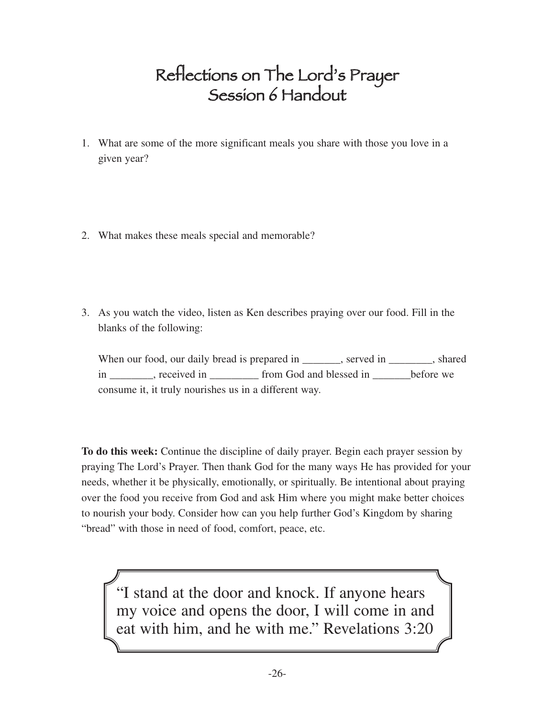### Reflections on The Lord's Prayer Session 6 Handout

- 1. What are some of the more significant meals you share with those you love in a given year?
- 2. What makes these meals special and memorable?
- 3. As you watch the video, listen as Ken describes praying over our food. Fill in the blanks of the following:

When our food, our daily bread is prepared in \_\_\_\_\_\_\_, served in \_\_\_\_\_\_\_, shared in creatived in the from God and blessed in before we consume it, it truly nourishes us in a different way.

**To do this week:** Continue the discipline of daily prayer. Begin each prayer session by praying The Lord's Prayer. Then thank God for the many ways He has provided for your needs, whether it be physically, emotionally, or spiritually. Be intentional about praying over the food you receive from God and ask Him where you might make better choices to nourish your body. Consider how can you help further God's Kingdom by sharing "bread" with those in need of food, comfort, peace, etc.

"I stand at the door and knock. If anyone hears my voice and opens the door, I will come in and eat with him, and he with me." Revelations 3:20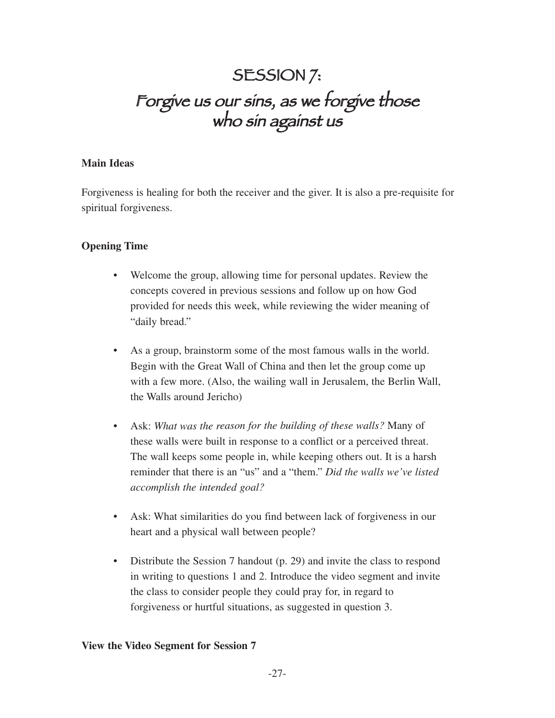### SESSION 7: Forgive us our sins, as we forgive those who sin against us

#### **Main Ideas**

Forgiveness is healing for both the receiver and the giver. It is also a pre-requisite for spiritual forgiveness.

#### **Opening Time**

- Welcome the group, allowing time for personal updates. Review the concepts covered in previous sessions and follow up on how God provided for needs this week, while reviewing the wider meaning of "daily bread."
- As a group, brainstorm some of the most famous walls in the world. Begin with the Great Wall of China and then let the group come up with a few more. (Also, the wailing wall in Jerusalem, the Berlin Wall, the Walls around Jericho)
- Ask: *What was the reason for the building of these walls?* Many of these walls were built in response to a conflict or a perceived threat. The wall keeps some people in, while keeping others out. It is a harsh reminder that there is an "us" and a "them." *Did the walls we've listed accomplish the intended goal?*
- Ask: What similarities do you find between lack of forgiveness in our heart and a physical wall between people?
- Distribute the Session 7 handout (p. 29) and invite the class to respond in writing to questions 1 and 2. Introduce the video segment and invite the class to consider people they could pray for, in regard to forgiveness or hurtful situations, as suggested in question 3.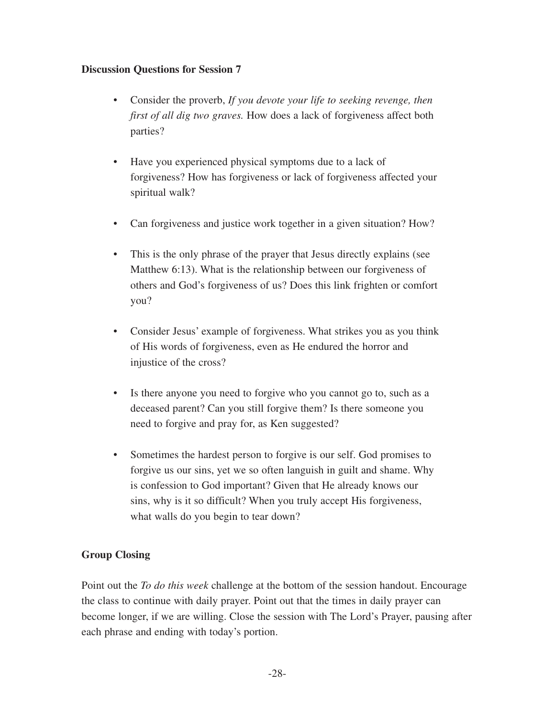- Consider the proverb, *If you devote your life to seeking revenge, then first of all dig two graves.* How does a lack of forgiveness affect both parties?
- Have you experienced physical symptoms due to a lack of forgiveness? How has forgiveness or lack of forgiveness affected your spiritual walk?
- Can forgiveness and justice work together in a given situation? How?
- This is the only phrase of the prayer that Jesus directly explains (see Matthew 6:13). What is the relationship between our forgiveness of others and God's forgiveness of us? Does this link frighten or comfort you?
- Consider Jesus' example of forgiveness. What strikes you as you think of His words of forgiveness, even as He endured the horror and injustice of the cross?
- Is there anyone you need to forgive who you cannot go to, such as a deceased parent? Can you still forgive them? Is there someone you need to forgive and pray for, as Ken suggested?
- Sometimes the hardest person to forgive is our self. God promises to forgive us our sins, yet we so often languish in guilt and shame. Why is confession to God important? Given that He already knows our sins, why is it so difficult? When you truly accept His forgiveness, what walls do you begin to tear down?

#### **Group Closing**

Point out the *To do this week* challenge at the bottom of the session handout. Encourage the class to continue with daily prayer. Point out that the times in daily prayer can become longer, if we are willing. Close the session with The Lord's Prayer, pausing after each phrase and ending with today's portion.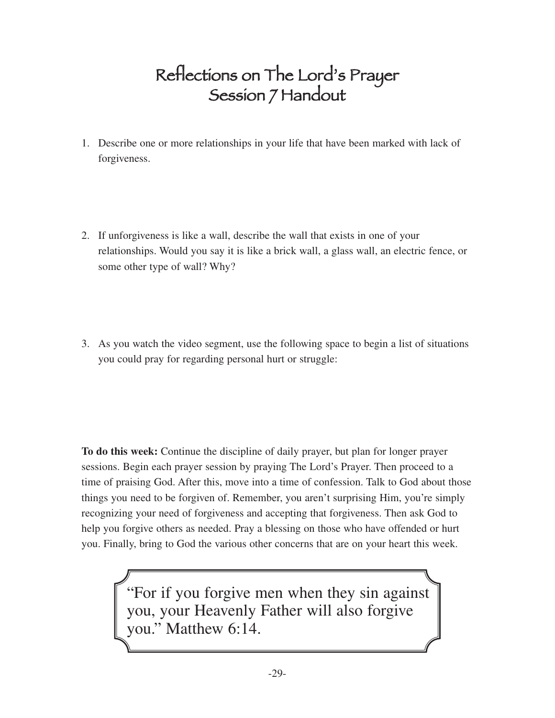### Reflections on The Lord's Prayer Session 7 Handout

- 1. Describe one or more relationships in your life that have been marked with lack of forgiveness.
- 2. If unforgiveness is like a wall, describe the wall that exists in one of your relationships. Would you say it is like a brick wall, a glass wall, an electric fence, or some other type of wall? Why?
- 3. As you watch the video segment, use the following space to begin a list of situations you could pray for regarding personal hurt or struggle:

**To do this week:** Continue the discipline of daily prayer, but plan for longer prayer sessions. Begin each prayer session by praying The Lord's Prayer. Then proceed to a time of praising God. After this, move into a time of confession. Talk to God about those things you need to be forgiven of. Remember, you aren't surprising Him, you're simply recognizing your need of forgiveness and accepting that forgiveness. Then ask God to help you forgive others as needed. Pray a blessing on those who have offended or hurt you. Finally, bring to God the various other concerns that are on your heart this week.

> "For if you forgive men when they sin against you, your Heavenly Father will also forgive you." Matthew 6:14.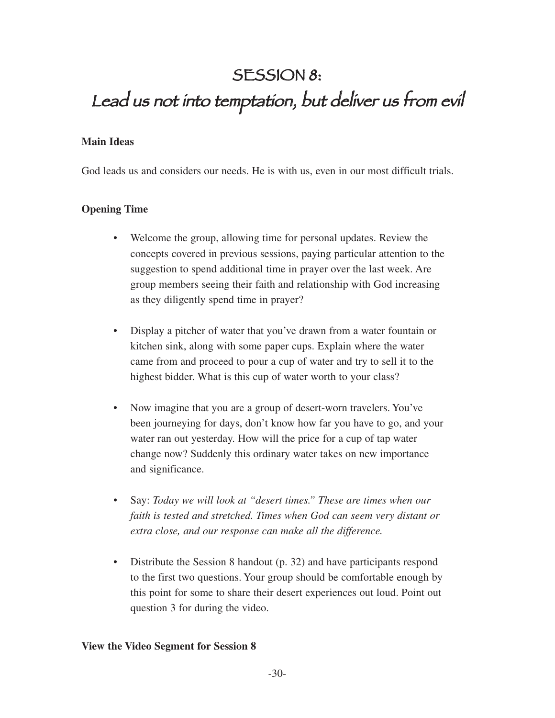### SESSION 8:

### Lead us not into temptation, but deliver us from evil

#### **Main Ideas**

God leads us and considers our needs. He is with us, even in our most difficult trials.

#### **Opening Time**

- Welcome the group, allowing time for personal updates. Review the concepts covered in previous sessions, paying particular attention to the suggestion to spend additional time in prayer over the last week. Are group members seeing their faith and relationship with God increasing as they diligently spend time in prayer?
- Display a pitcher of water that you've drawn from a water fountain or kitchen sink, along with some paper cups. Explain where the water came from and proceed to pour a cup of water and try to sell it to the highest bidder. What is this cup of water worth to your class?
- Now imagine that you are a group of desert-worn travelers. You've been journeying for days, don't know how far you have to go, and your water ran out yesterday. How will the price for a cup of tap water change now? Suddenly this ordinary water takes on new importance and significance.
- Say: *Today we will look at "desert times." These are times when our faith is tested and stretched. Times when God can seem very distant or extra close, and our response can make all the difference.*
- Distribute the Session 8 handout (p. 32) and have participants respond to the first two questions. Your group should be comfortable enough by this point for some to share their desert experiences out loud. Point out question 3 for during the video.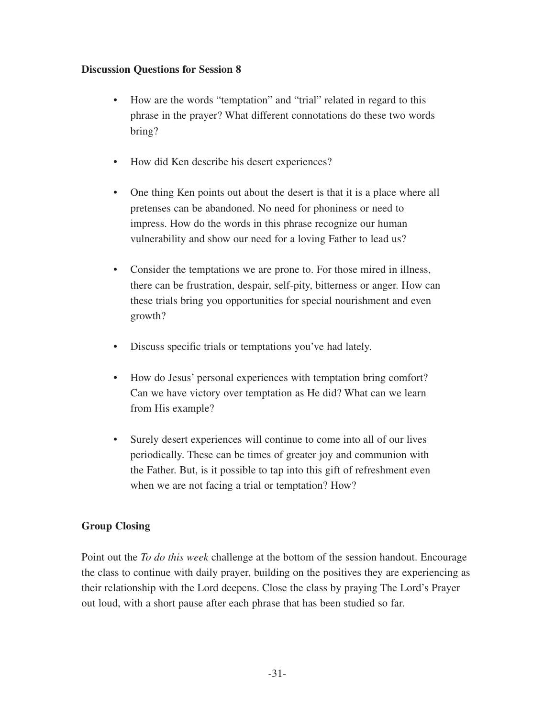- How are the words "temptation" and "trial" related in regard to this phrase in the prayer? What different connotations do these two words bring?
- How did Ken describe his desert experiences?
- One thing Ken points out about the desert is that it is a place where all pretenses can be abandoned. No need for phoniness or need to impress. How do the words in this phrase recognize our human vulnerability and show our need for a loving Father to lead us?
- Consider the temptations we are prone to. For those mired in illness, there can be frustration, despair, self-pity, bitterness or anger. How can these trials bring you opportunities for special nourishment and even growth?
- Discuss specific trials or temptations you've had lately.
- How do Jesus' personal experiences with temptation bring comfort? Can we have victory over temptation as He did? What can we learn from His example?
- Surely desert experiences will continue to come into all of our lives periodically. These can be times of greater joy and communion with the Father. But, is it possible to tap into this gift of refreshment even when we are not facing a trial or temptation? How?

#### **Group Closing**

Point out the *To do this week* challenge at the bottom of the session handout. Encourage the class to continue with daily prayer, building on the positives they are experiencing as their relationship with the Lord deepens. Close the class by praying The Lord's Prayer out loud, with a short pause after each phrase that has been studied so far.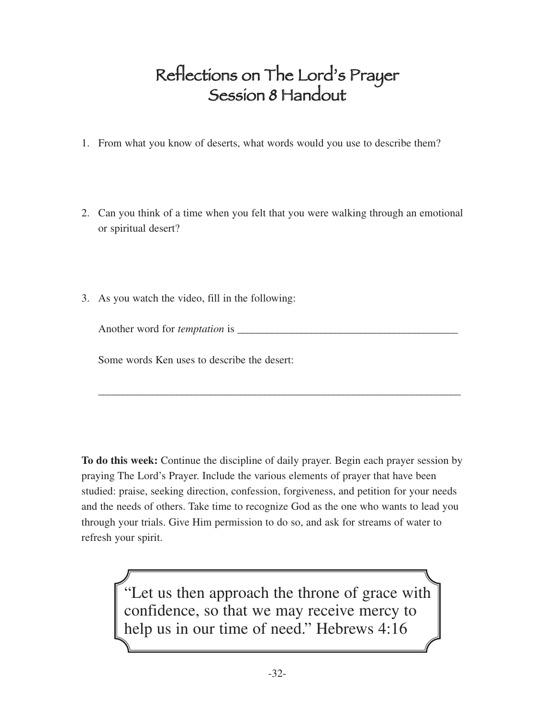### Reflections on The Lord's Prayer Session 8 Handout

- 1. From what you know of deserts, what words would you use to describe them?
- 2. Can you think of a time when you felt that you were walking through an emotional or spiritual desert?
- 3. As you watch the video, fill in the following:

Another word for *temptation* is \_

\_\_\_\_\_\_\_\_\_\_\_\_\_\_\_\_\_\_\_\_\_\_\_\_\_\_\_\_\_\_\_\_\_\_\_\_\_\_\_\_\_\_\_\_\_\_\_\_\_\_\_\_\_\_\_\_\_\_\_\_\_\_\_\_\_\_\_\_\_\_\_\_\_\_

Some words Ken uses to describe the desert:

**To do this week:** Continue the discipline of daily prayer. Begin each prayer session by praying The Lord's Prayer. Include the various elements of prayer that have been studied: praise, seeking direction, confession, forgiveness, and petition for your needs and the needs of others. Take time to recognize God as the one who wants to lead you through your trials. Give Him permission to do so, and ask for streams of water to refresh your spirit.

> "Let us then approach the throne of grace with confidence, so that we may receive mercy to help us in our time of need." Hebrews 4:16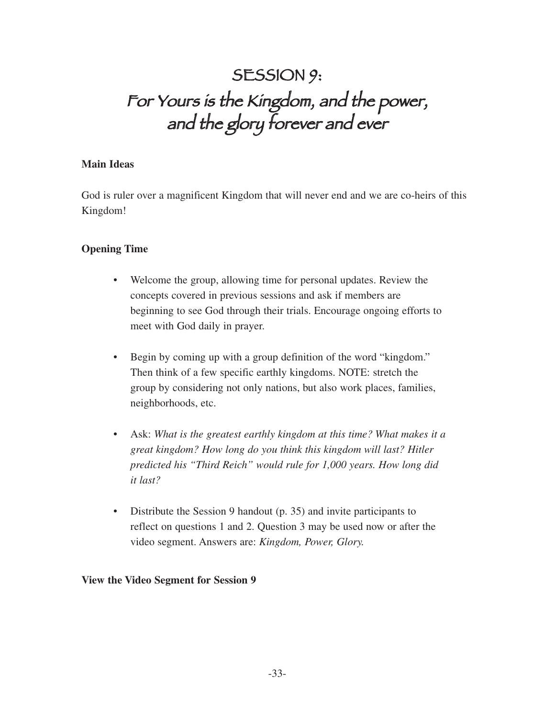### SESSION 9: For Yours is the Kingdom, and the power, and the glory forever and ever

#### **Main Ideas**

God is ruler over a magnificent Kingdom that will never end and we are co-heirs of this Kingdom!

#### **Opening Time**

- Welcome the group, allowing time for personal updates. Review the concepts covered in previous sessions and ask if members are beginning to see God through their trials. Encourage ongoing efforts to meet with God daily in prayer.
- Begin by coming up with a group definition of the word "kingdom." Then think of a few specific earthly kingdoms. NOTE: stretch the group by considering not only nations, but also work places, families, neighborhoods, etc.
- Ask: *What is the greatest earthly kingdom at this time? What makes it a great kingdom? How long do you think this kingdom will last? Hitler predicted his "Third Reich" would rule for 1,000 years. How long did it last?*
- Distribute the Session 9 handout (p. 35) and invite participants to reflect on questions 1 and 2. Question 3 may be used now or after the video segment. Answers are: *Kingdom, Power, Glory.*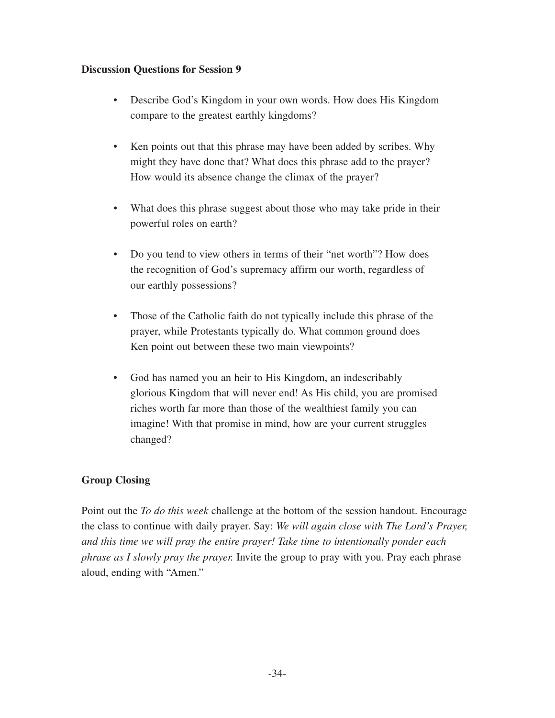- Describe God's Kingdom in your own words. How does His Kingdom compare to the greatest earthly kingdoms?
- Ken points out that this phrase may have been added by scribes. Why might they have done that? What does this phrase add to the prayer? How would its absence change the climax of the prayer?
- What does this phrase suggest about those who may take pride in their powerful roles on earth?
- Do you tend to view others in terms of their "net worth"? How does the recognition of God's supremacy affirm our worth, regardless of our earthly possessions?
- Those of the Catholic faith do not typically include this phrase of the prayer, while Protestants typically do. What common ground does Ken point out between these two main viewpoints?
- God has named you an heir to His Kingdom, an indescribably glorious Kingdom that will never end! As His child, you are promised riches worth far more than those of the wealthiest family you can imagine! With that promise in mind, how are your current struggles changed?

#### **Group Closing**

Point out the *To do this week* challenge at the bottom of the session handout. Encourage the class to continue with daily prayer. Say: *We will again close with The Lord's Prayer, and this time we will pray the entire prayer! Take time to intentionally ponder each phrase as I slowly pray the prayer.* Invite the group to pray with you. Pray each phrase aloud, ending with "Amen."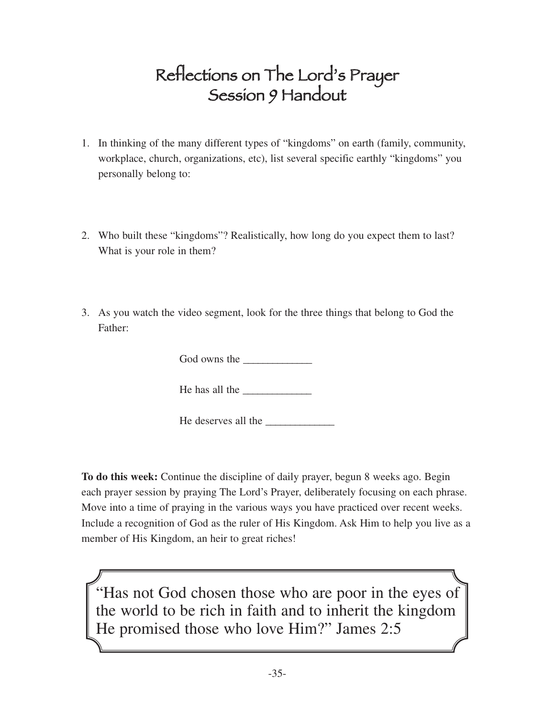### Reflections on The Lord's Prayer Session 9 Handout

- 1. In thinking of the many different types of "kingdoms" on earth (family, community, workplace, church, organizations, etc), list several specific earthly "kingdoms" you personally belong to:
- 2. Who built these "kingdoms"? Realistically, how long do you expect them to last? What is your role in them?
- 3. As you watch the video segment, look for the three things that belong to God the Father:

God owns the

He has all the  $\qquad$ 

He deserves all the

**To do this week:** Continue the discipline of daily prayer, begun 8 weeks ago. Begin each prayer session by praying The Lord's Prayer, deliberately focusing on each phrase. Move into a time of praying in the various ways you have practiced over recent weeks. Include a recognition of God as the ruler of His Kingdom. Ask Him to help you live as a member of His Kingdom, an heir to great riches!

"Has not God chosen those who are poor in the eyes of the world to be rich in faith and to inherit the kingdom He promised those who love Him?" James 2:5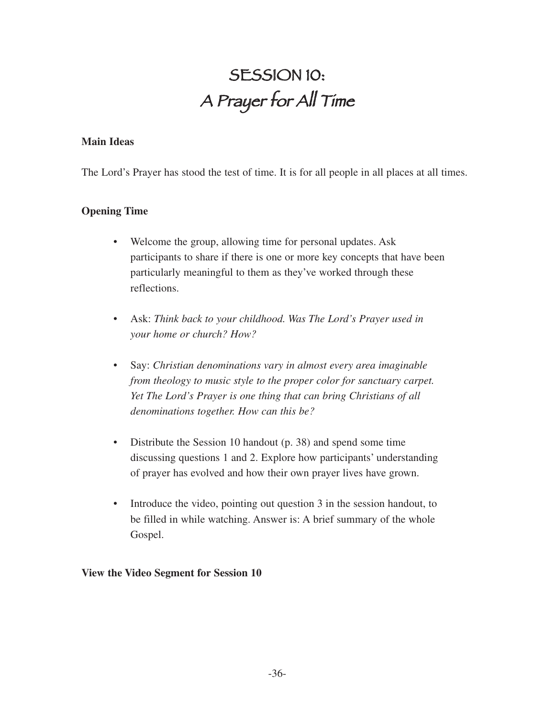# SESSION 10: <sup>A</sup> Prayer for All Time

#### **Main Ideas**

The Lord's Prayer has stood the test of time. It is for all people in all places at all times.

#### **Opening Time**

- Welcome the group, allowing time for personal updates. Ask participants to share if there is one or more key concepts that have been particularly meaningful to them as they've worked through these reflections.
- Ask: *Think back to your childhood. Was The Lord's Prayer used in your home or church? How?*
- Say: *Christian denominations vary in almost every area imaginable from theology to music style to the proper color for sanctuary carpet. Yet The Lord's Prayer is one thing that can bring Christians of all denominations together. How can this be?*
- Distribute the Session 10 handout (p. 38) and spend some time discussing questions 1 and 2. Explore how participants' understanding of prayer has evolved and how their own prayer lives have grown.
- Introduce the video, pointing out question 3 in the session handout, to be filled in while watching. Answer is: A brief summary of the whole Gospel.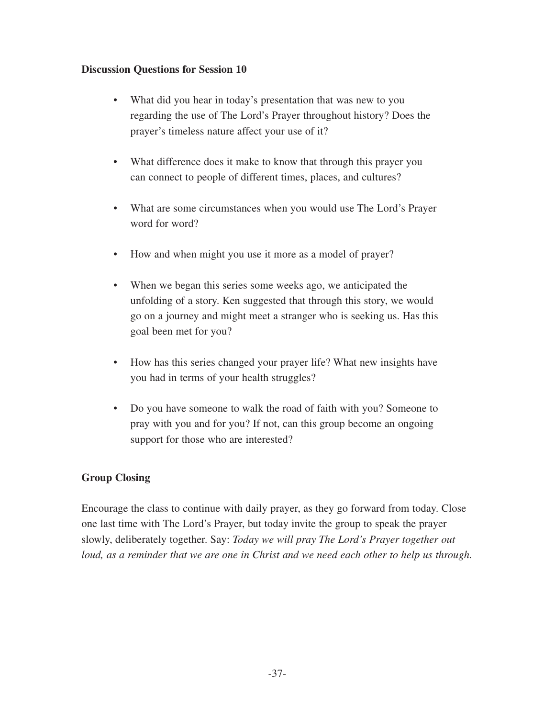- What did you hear in today's presentation that was new to you regarding the use of The Lord's Prayer throughout history? Does the prayer's timeless nature affect your use of it?
- What difference does it make to know that through this prayer you can connect to people of different times, places, and cultures?
- What are some circumstances when you would use The Lord's Prayer word for word?
- How and when might you use it more as a model of prayer?
- When we began this series some weeks ago, we anticipated the unfolding of a story. Ken suggested that through this story, we would go on a journey and might meet a stranger who is seeking us. Has this goal been met for you?
- How has this series changed your prayer life? What new insights have you had in terms of your health struggles?
- Do you have someone to walk the road of faith with you? Someone to pray with you and for you? If not, can this group become an ongoing support for those who are interested?

#### **Group Closing**

Encourage the class to continue with daily prayer, as they go forward from today. Close one last time with The Lord's Prayer, but today invite the group to speak the prayer slowly, deliberately together. Say: *Today we will pray The Lord's Prayer together out loud, as a reminder that we are one in Christ and we need each other to help us through.*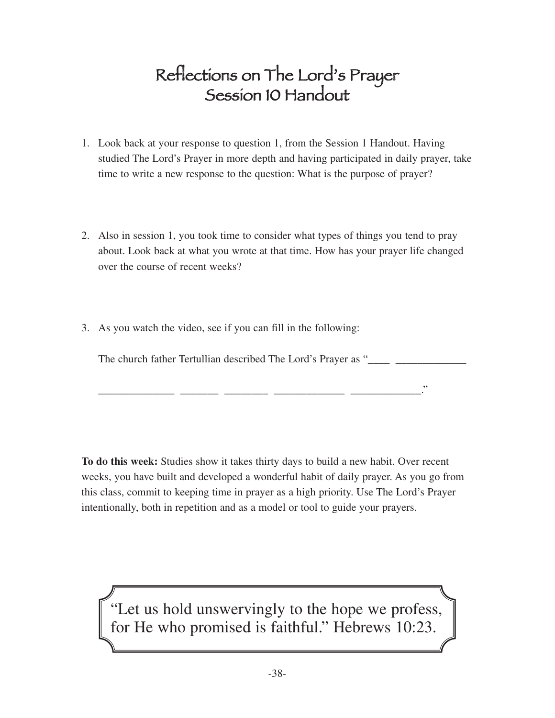### Reflections on The Lord's Prayer Session 10 Handout

- 1. Look back at your response to question 1, from the Session 1 Handout. Having studied The Lord's Prayer in more depth and having participated in daily prayer, take time to write a new response to the question: What is the purpose of prayer?
- 2. Also in session 1, you took time to consider what types of things you tend to pray about. Look back at what you wrote at that time. How has your prayer life changed over the course of recent weeks?
- 3. As you watch the video, see if you can fill in the following:

The church father Tertullian described The Lord's Prayer as "\_\_\_\_\_ \_\_\_\_\_\_\_\_\_\_\_\_\_\_

\_\_\_\_\_\_\_\_\_\_\_\_\_\_ \_\_\_\_\_\_\_ \_\_\_\_\_\_\_\_ \_\_\_\_\_\_\_\_\_\_\_\_\_ \_\_\_\_\_\_\_\_\_\_\_\_\_."

**To do this week:** Studies show it takes thirty days to build a new habit. Over recent weeks, you have built and developed a wonderful habit of daily prayer. As you go from this class, commit to keeping time in prayer as a high priority. Use The Lord's Prayer intentionally, both in repetition and as a model or tool to guide your prayers.

"Let us hold unswervingly to the hope we profess, for He who promised is faithful." Hebrews 10:23.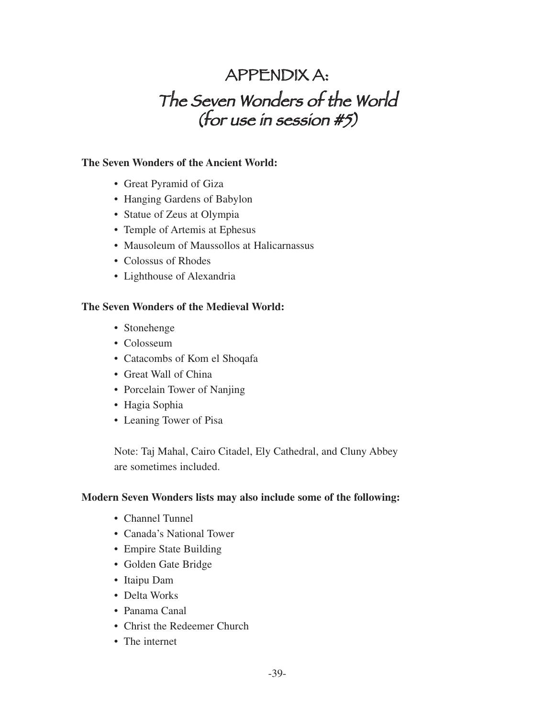### APPENDIX A: The Seven Wonders of the World (for use in session #5)

#### **The Seven Wonders of the Ancient World:**

- Great Pyramid of Giza
- Hanging Gardens of Babylon
- Statue of Zeus at Olympia
- Temple of Artemis at Ephesus
- Mausoleum of Maussollos at Halicarnassus
- Colossus of Rhodes
- Lighthouse of Alexandria

#### **The Seven Wonders of the Medieval World:**

- Stonehenge
- Colosseum
- Catacombs of Kom el Shoqafa
- Great Wall of China
- Porcelain Tower of Nanjing
- Hagia Sophia
- Leaning Tower of Pisa

Note: Taj Mahal, Cairo Citadel, Ely Cathedral, and Cluny Abbey are sometimes included.

#### **Modern Seven Wonders lists may also include some of the following:**

- Channel Tunnel
- Canada's National Tower
- Empire State Building
- Golden Gate Bridge
- Itaipu Dam
- Delta Works
- Panama Canal
- Christ the Redeemer Church
- The internet